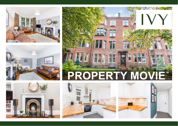











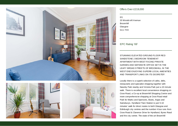



## Offers Over £219,000

0/1 20 Woodcroft Avenue Broomhill **Glasgow** G11 7HX

EPC Rating '69'

STUNNING ELEVATED GROUND ELOOR RED SANDSTONE 2 BEDROOM TENEMENT APARTMENT WITH WEST FACING PRIVATE GARDEN AND SEPARATE OFFICE SET IN THE LEAFY BROAD STREETS OF BROOMHILL IN THE WEST END ENJOYING SUPERB LOCAL AMENITIES AND TRANSPORT LINKS ON ITS DOORSTEP.

Locally there is a superb selection of cafes, delis, restaurants and specialist shopping together with Naseby Park nearby and Victoria Park just a 10 minute walk. There is excellent local convenience shopping on Crow Road, a Co-op at Broomhill Shopping Centre and more comprehensive shopping at Crow Road retail Park for Marks and Spencers, Boots, Argos and Sainsburys. Hyndland Train Station is just 5-10 minutes' walk for direct routes to both Glasgow and Edinburgh city centres and the number 4 bus runs from Crow Road & Clarence Drive for Hyndland, Byres Road and the city centre. The state of the art Broomhill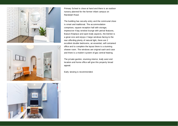



Primary School is close at hand and there is an outdoor nursery planned for the former infant campus on Randolph Road.

The building has security entry and the communal close is smart and traditional. The accommodation comprises; square reception hall with storage, impressive 4 bay window lounge with period features, feature fireplace and open leafy aspects, the kitchen is a great size and enjoys 2 large windows facing to the rear affording plenty of natural light, there are 2 excellent double bedrooms, an essential, self contained office and to complete the layout there is a stunning shower room. The windows are original sash and case and there is a modern system of gas central heating.

The private garden, stunning interior, leafy west end location and home office will give this property broad appeal.

Early viewing is recommended.